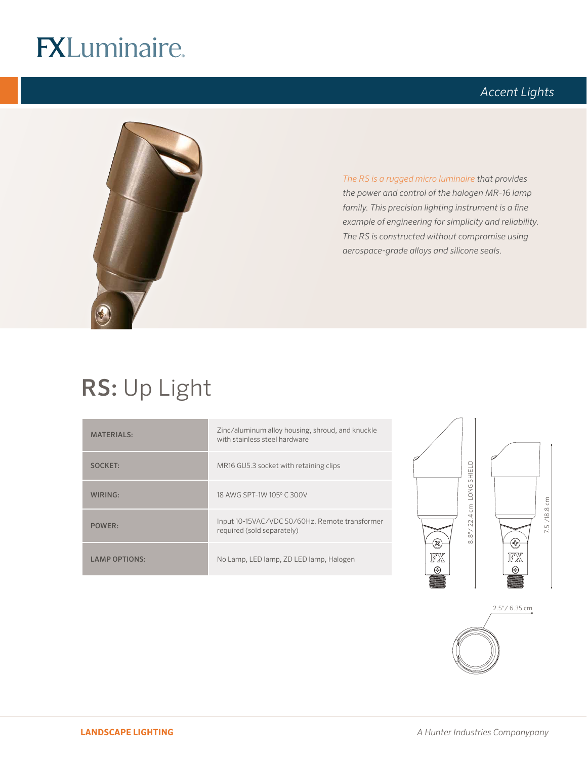## **FXLuminaire.**

### *Accent Lights*



*The RS is a rugged micro luminaire that provides the power and control of the halogen MR-16 lamp family. This precision lighting instrument is a fine example of engineering for simplicity and reliability. The RS is constructed without compromise using aerospace-grade alloys and silicone seals.* 

## RS: Up Light

| <b>MATERIALS:</b>    | Zinc/aluminum alloy housing, shroud, and knuckle<br>with stainless steel hardware |  |
|----------------------|-----------------------------------------------------------------------------------|--|
| <b>SOCKET:</b>       | MR16 GU5.3 socket with retaining clips                                            |  |
| WIRING:              | 18 AWG SPT-1W 105° C 300V                                                         |  |
| POWER:               | Input 10-15VAC/VDC 50/60Hz. Remote transformer<br>required (sold separately)      |  |
| <b>LAMP OPTIONS:</b> | No Lamp, LED lamp, ZD LED lamp, Halogen                                           |  |